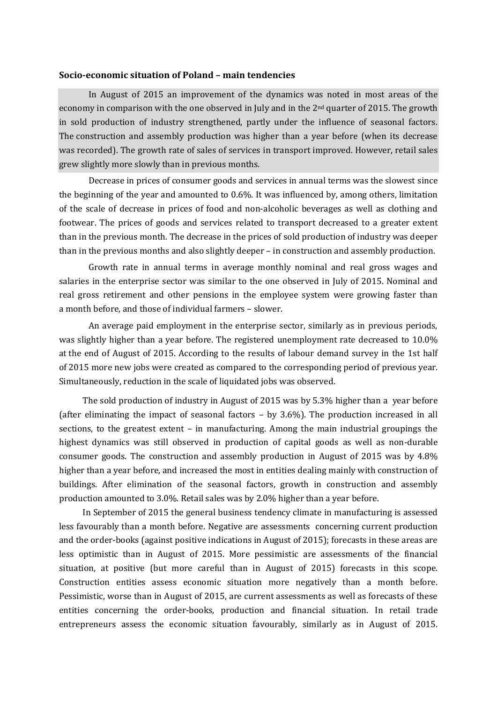#### **Socio-economic situation of Poland – main tendencies**

In August of 2015 an improvement of the dynamics was noted in most areas of the economy in comparison with the one observed in July and in the 2nd quarter of 2015. The growth in sold production of industry strengthened, partly under the influence of seasonal factors. The construction and assembly production was higher than a year before (when its decrease was recorded). The growth rate of sales of services in transport improved. However, retail sales grew slightly more slowly than in previous months.

Decrease in prices of consumer goods and services in annual terms was the slowest since the beginning of the year and amounted to 0.6%. It was influenced by, among others, limitation of the scale of decrease in prices of food and non-alcoholic beverages as well as clothing and footwear. The prices of goods and services related to transport decreased to a greater extent than in the previous month. The decrease in the prices of sold production of industry was deeper than in the previous months and also slightly deeper – in construction and assembly production.

Growth rate in annual terms in average monthly nominal and real gross wages and salaries in the enterprise sector was similar to the one observed in July of 2015. Nominal and real gross retirement and other pensions in the employee system were growing faster than a month before, and those of individual farmers – slower.

An average paid employment in the enterprise sector, similarly as in previous periods, was slightly higher than a year before. The registered unemployment rate decreased to 10.0% at the end of August of 2015. According to the results of labour demand survey in the 1st half of 2015 more new jobs were created as compared to the corresponding period of previous year. Simultaneously, reduction in the scale of liquidated jobs was observed.

The sold production of industry in August of 2015 was by 5.3% higher than a year before (after eliminating the impact of seasonal factors – by 3.6%). The production increased in all sections, to the greatest extent – in manufacturing. Among the main industrial groupings the highest dynamics was still observed in production of capital goods as well as non-durable consumer goods. The construction and assembly production in August of 2015 was by 4.8% higher than a year before, and increased the most in entities dealing mainly with construction of buildings. After elimination of the seasonal factors, growth in construction and assembly production amounted to 3.0%. Retail sales was by 2.0% higher than a year before.

In September of 2015 the general business tendency climate in manufacturing is assessed less favourably than a month before. Negative are assessments concerning current production and the order-books (against positive indications in August of 2015); forecasts in these areas are less optimistic than in August of 2015. More pessimistic are assessments of the financial situation, at positive (but more careful than in August of 2015) forecasts in this scope. Construction entities assess economic situation more negatively than a month before. Pessimistic, worse than in August of 2015, are current assessments as well as forecasts of these entities concerning the order-books, production and financial situation. In retail trade entrepreneurs assess the economic situation favourably, similarly as in August of 2015.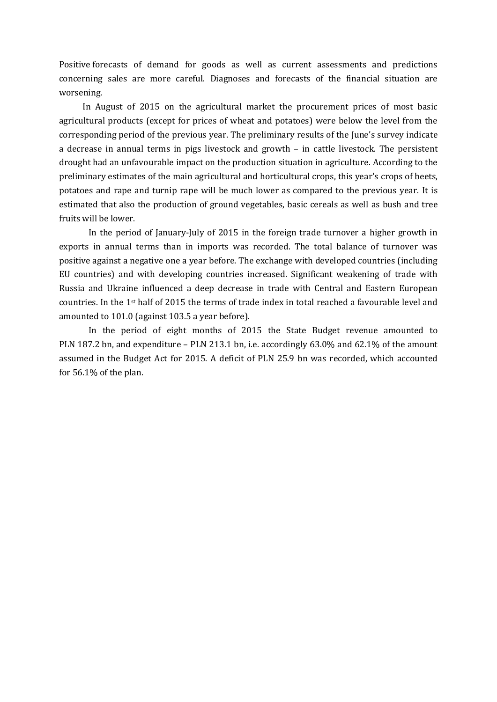Positive forecasts of demand for goods as well as current assessments and predictions concerning sales are more careful. Diagnoses and forecasts of the financial situation are worsening.

In August of 2015 on the agricultural market the procurement prices of most basic agricultural products (except for prices of wheat and potatoes) were below the level from the corresponding period of the previous year. The preliminary results of the June's survey indicate a decrease in annual terms in pigs livestock and growth – in cattle livestock. The persistent drought had an unfavourable impact on the production situation in agriculture. According to the preliminary estimates of the main agricultural and horticultural crops, this year's crops of beets, potatoes and rape and turnip rape will be much lower as compared to the previous year. It is estimated that also the production of ground vegetables, basic cereals as well as bush and tree fruits will be lower.

In the period of January-July of 2015 in the foreign trade turnover a higher growth in exports in annual terms than in imports was recorded. The total balance of turnover was positive against a negative one a year before. The exchange with developed countries (including EU countries) and with developing countries increased. Significant weakening of trade with Russia and Ukraine influenced a deep decrease in trade with Central and Eastern European countries. In the 1<sup>st</sup> half of 2015 the terms of trade index in total reached a favourable level and amounted to 101.0 (against 103.5 a year before).

In the period of eight months of 2015 the State Budget revenue amounted to PLN 187.2 bn, and expenditure – PLN 213.1 bn, i.e. accordingly 63.0% and 62.1% of the amount assumed in the Budget Act for 2015. A deficit of PLN 25.9 bn was recorded, which accounted for 56.1% of the plan.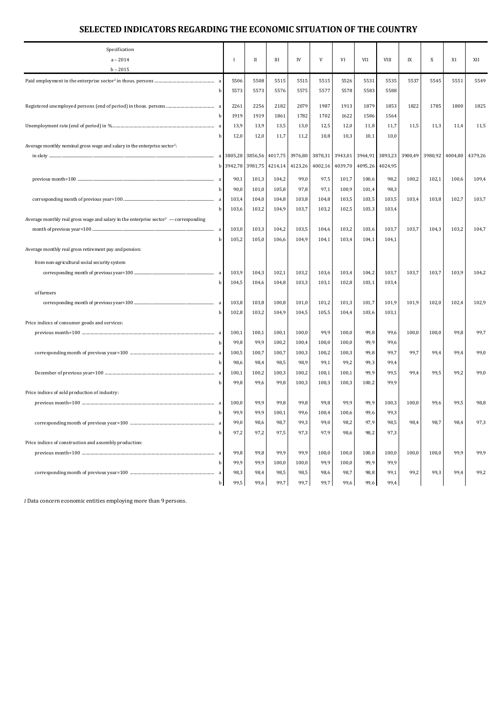| Specification                                                                                    |    |         |              |         |         |         |         |         |             |                 |         |         |         |
|--------------------------------------------------------------------------------------------------|----|---------|--------------|---------|---------|---------|---------|---------|-------------|-----------------|---------|---------|---------|
| $a - 2014$                                                                                       |    | -1      | $\mathbf{I}$ | Ш       | IV      | V       | VI      | VII     | <b>VIII</b> | IX              | X       | XI      | XII     |
| $b - 2015$                                                                                       |    |         |              |         |         |         |         |         |             |                 |         |         |         |
|                                                                                                  |    | 5506    | 5508         | 5515    | 5515    | 5515    | 5526    | 5531    | 5535        | 5537            | 5545    | 5551    | 5549    |
|                                                                                                  | b  | 5573    | 5573         | 5576    | 5575    | 5577    | 5578    | 5583    | 5588        |                 |         |         |         |
|                                                                                                  |    | 2261    | 2256         | 2182    | 2079    | 1987    | 1913    | 1879    | 1853        | 1822            | 1785    | 1800    | 1825    |
|                                                                                                  | b  | 1919    | 1919         | 1861    | 1782    | 1702    | 1622    | 1586    | 1564        |                 |         |         |         |
|                                                                                                  |    | 13,9    | 13,9         | 13,5    | 13,0    | 12,5    | 12,0    | 11,8    | 11,7        | 11,5            | 11,3    | 11,4    | 11,5    |
|                                                                                                  | b  | 12,0    | 12,0         | 11,7    | 11,2    | 10,8    | 10,3    | 10,1    | 10,0        |                 |         |         |         |
| Average monthly nominal gross wage and salary in the enterprise sector <sup>1</sup> :            |    |         |              |         |         |         |         |         |             |                 |         |         |         |
|                                                                                                  |    |         | 3856,56      | 4017,75 | 3976,80 | 3878,31 | 3943,01 | 3964,91 |             | 3893,23 3900,49 | 3980,92 | 4004,80 | 4379,26 |
|                                                                                                  | b  | 3942,78 | 3981,75      | 4214,14 | 4123,26 | 4002,16 | 4039,70 | 4095,26 | 4024,95     |                 |         |         |         |
|                                                                                                  | a  | 90,1    | 101,3        | 104,2   | 99,0    | 97,5    | 101,7   | 100,6   | 98,2        | 100,2           | 102,1   | 100,6   | 109,4   |
|                                                                                                  | h  | 90,0    | 101,0        | 105,8   | 97,8    | 97,1    | 100,9   | 101,4   | 98,3        |                 |         |         |         |
|                                                                                                  |    | 103,4   | 104,0        | 104,8   | 103,8   | 104,8   | 103,5   | 103,5   | 103,5       | 103,4           | 103,8   | 102,7   | 103,7   |
|                                                                                                  |    | 103,6   | 103,2        | 104,9   | 103,7   | 103,2   | 102,5   | 103,3   | 103,4       |                 |         |         |         |
| Average monthly real gross wage and salary in the enterprise sector <sup>1</sup> — corresponding |    |         |              |         |         |         |         |         |             |                 |         |         |         |
|                                                                                                  | a  | 103,0   | 103,3        | 104,2   | 103,5   | 104,6   | 103,2   | 103,6   | 103,7       | 103,7           | 104,3   | 103,2   | 104,7   |
|                                                                                                  | h  | 105,2   | 105,0        | 106,6   | 104,9   | 104,1   | 103,4   | 104,1   | 104,1       |                 |         |         |         |
| Average monthly real gross retirement pay and pension:                                           |    |         |              |         |         |         |         |         |             |                 |         |         |         |
| from non-agricultural social security system                                                     |    |         |              |         |         |         |         |         |             |                 |         |         |         |
|                                                                                                  |    | 103,9   | 104,3        | 102,1   | 103,2   | 103,6   | 103,4   | 104,2   | 103,7       | 103,7           | 103,7   | 103,9   | 104,2   |
|                                                                                                  |    | 104,5   | 104,6        | 104,8   | 103,3   | 103,1   | 102,8   | 103,1   | 103,4       |                 |         |         |         |
| of farmers                                                                                       |    |         |              |         |         |         |         |         |             |                 |         |         |         |
|                                                                                                  |    | 103,8   | 103,8        | 100,8   | 101,0   | 101,2   | 101,3   | 101,7   | 101,9       | 101,9           | 102,0   | 102,4   | 102,9   |
|                                                                                                  |    | 102,8   | 103,2        | 104,9   | 104,5   | 105,5   | 104,4   | 103,6   | 103,1       |                 |         |         |         |
| Price indices of consumer goods and services:                                                    |    |         |              |         |         |         |         |         |             |                 |         |         |         |
|                                                                                                  |    | 100,1   | 100,1        | 100,1   | 100,0   | 99,9    | 100,0   | 99,8    | 99,6        | 100,0           | 100,0   | 99,8    | 99,7    |
|                                                                                                  |    | 99,8    | 99,9         | 100,2   | 100,4   | 100,0   | 100,0   | 99,9    | 99,6        |                 |         |         |         |
|                                                                                                  |    | 100,5   | 100,7        | 100,7   | 100,3   | 100,2   | 100,3   | 99,8    | 99,7        | 99,7            | 99,4    | 99,4    | 99,0    |
|                                                                                                  |    | 98,6    | 98,4         | 98,5    | 98,9    | 99,1    | 99,2    | 99,3    | 99,4        |                 |         |         |         |
|                                                                                                  |    | 100,1   | 100,2        | 100,3   | 100,2   | 100,1   | 100,1   | 99,9    | 99,5        | 99.4            | 99,5    | 99,2    | 99,0    |
|                                                                                                  |    | 99,8    | 99,6         | 99,8    | 100,3   | 100,3   | 100,3   | 100,2   | 99,9        |                 |         |         |         |
| Price indices of sold production of industry:                                                    |    |         |              |         |         |         |         |         |             |                 |         |         |         |
|                                                                                                  |    | 100,0   | 99,9         | 99,8    | 99,8    | 99,8    | 99,9    | 99,9    | 100,3       | 100,0           | 99,6    | 99,5    | 98,8    |
|                                                                                                  | b  | 99.9    | 99,9         | 100,1   | 99,6    | 100,4   | 100,6   | 99,6    | 99,3        |                 |         |         |         |
|                                                                                                  | a  | 99,0    | 98,6         | 98,7    | 99,3    | 99,0    | 98,2    | 97,9    | 98,5        | 98,4            | 98,7    | 98,4    | 97,3    |
|                                                                                                  | b  | 97,2    | 97,2         | 97,5    | 97,3    | 97,9    | 98,6    | 98,2    | 97,3        |                 |         |         |         |
| Price indices of construction and assembly production:                                           |    |         |              |         |         |         |         |         |             |                 |         |         |         |
|                                                                                                  | a  | 99,8    | 99,8         | 99,9    | 99,9    | 100,0   | 100,0   | 100,0   | 100,0       | 100,0           | 100,0   | 99,9    | 99,9    |
|                                                                                                  | b  | 99,9    | 99,9         | 100,0   | 100,0   | 99,9    | 100,0   | 99,9    | 99,9        |                 |         |         |         |
|                                                                                                  | -a | 98,3    | 98,4         | 98,5    | 98,5    | 98,6    | 98,7    | 98,8    | 99,1        | 99,2            | 99,3    | 99,4    | 99,2    |
|                                                                                                  | b  | 99,5    | 99,6         | 99,7    | 99,7    | 99,7    | 99,6    | 99,6    | 99,4        |                 |         |         |         |

*1* Data concern economic entities employing more than 9 persons.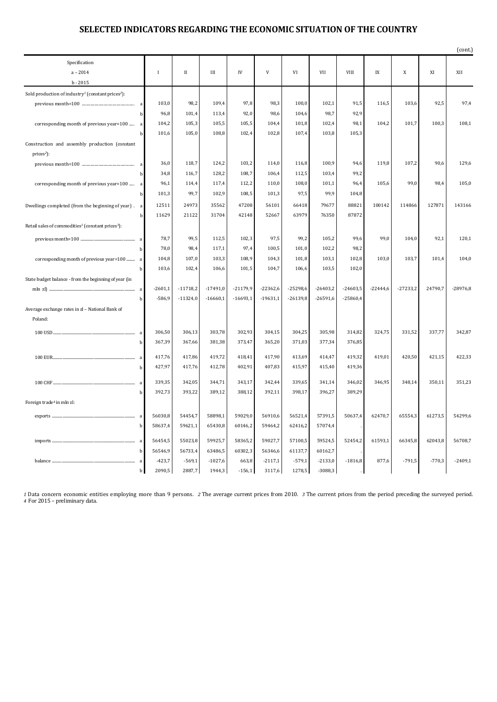|                                                                           |           |              |            |            |            |            |            |            |            |              |          | (cont.)    |
|---------------------------------------------------------------------------|-----------|--------------|------------|------------|------------|------------|------------|------------|------------|--------------|----------|------------|
| Specification                                                             |           |              |            |            |            |            |            |            |            |              |          |            |
| $a - 2014$                                                                | $\bf{I}$  | $\mathbf{I}$ | Ш          | ${\rm IV}$ | V          | VI         | VII        | VIII       | IX         | $\mathbf{X}$ | XI       | XII        |
| $b - 2015$                                                                |           |              |            |            |            |            |            |            |            |              |          |            |
| Sold production of industry <sup>1</sup> (constant prices <sup>2</sup> ): |           |              |            |            |            |            |            |            |            |              |          |            |
| a                                                                         | 103,0     | 98,2         | 109,4      | 97,8       | 98,3       | 100,0      | 102,1      | 91,5       | 116,5      | 103,6        | 92,5     | 97,4       |
| b                                                                         | 96,8      | 101,4        | 113,4      | 92,0       | 98,6       | 104,6      | 98,7       | 92,9       |            |              |          |            |
| corresponding month of previous year=100  a                               | 104,2     | 105,3        | 105,5      | 105,5      | 104,4      | 101,8      | 102,4      | 98,1       | 104,2      | 101,7        | 100,3    | 108,1      |
| h                                                                         | 101,6     | 105,0        | 108,8      | 102,4      | 102,8      | 107,4      | 103,8      | 105,3      |            |              |          |            |
| Construction and assembly production (constant                            |           |              |            |            |            |            |            |            |            |              |          |            |
| prices <sup>2</sup> ):                                                    |           |              |            |            |            |            |            |            |            |              |          |            |
| a                                                                         | 36,0      | 118,7        | 124,2      | 103,2      | 114,0      | 116,8      | 100,9      | 94,6       | 119,8      | 107,2        | 90,6     | 129,6      |
|                                                                           | 34,8      | 116,7        | 128,2      | 108,7      | 106,4      | 112,5      | 103,4      | 99,2       |            |              |          |            |
| corresponding month of previous year=100  a                               | 96,1      | 114,4        | 117,4      | 112,2      | 110,0      | 108,0      | 101,1      | 96,4       | 105,6      | 99,0         | 98,4     | 105,0      |
| b                                                                         | 101,3     | 99,7         | 102,9      | 108,5      | 101,3      | 97,5       | 99,9       | 104,8      |            |              |          |            |
| Dwellings completed (from the beginning of year). a                       | 12511     | 24973        | 35562      | 47208      | 56101      | 66418      | 79677      | 88821      | 100142     | 114866       | 127871   | 143166     |
| h                                                                         | 11629     | 21122        | 31704      | 42148      | 52667      | 63979      | 76350      | 87872      |            |              |          |            |
| Retail sales of commodities <sup>1</sup> (constant prices <sup>3</sup> ): |           |              |            |            |            |            |            |            |            |              |          |            |
| a                                                                         | 78,7      | 99,5         | 112,5      | 102,3      | 97,5       | 99,2       | 105,2      | 99,6       | 99,0       | 104,0        | 92,1     | 120,1      |
| b                                                                         | 78,0      | 98,4         | 117,1      | 97,4       | 100,5      | 101,0      | 102,2      | 98,2       |            |              |          |            |
| corresponding month of previous year=100  a                               | 104,8     | 107,0        | 103,3      | 108,9      | 104,3      | 101,8      | 103,1      | 102,8      | 103,0      | 103,7        | 101,4    | 104,0      |
| b                                                                         | 103,6     | 102,4        | 106,6      | 101,5      | 104,7      | 106,6      | 103,5      | 102,0      |            |              |          |            |
| State budget balance - from the beginning of year (in                     |           |              |            |            |            |            |            |            |            |              |          |            |
|                                                                           | $-2601,1$ | $-11718,2$   | $-17491,0$ | $-21179,9$ | $-22362,6$ | $-25298,6$ | $-26403,2$ | $-24603,5$ | $-22444,6$ | $-27233,2$   | 24790,7  | $-28976,8$ |
| h                                                                         | $-586,9$  | $-11324,0$   | $-16660,1$ | $-16693,1$ | $-19631,1$ | $-26139,8$ | $-26591,6$ | $-25860,4$ |            |              |          |            |
| Average exchange rates in zl - National Bank of                           |           |              |            |            |            |            |            |            |            |              |          |            |
| Poland:                                                                   |           |              |            |            |            |            |            |            |            |              |          |            |
| a                                                                         | 306,50    | 306,13       | 303,78     | 302,93     | 304,15     | 304,25     | 305,98     | 314,82     | 324,75     | 331,52       | 337,77   | 342,87     |
| b                                                                         | 367,39    | 367,66       | 381,38     | 373,47     | 365,20     | 371,03     | 377,34     | 376,85     |            |              |          |            |
|                                                                           |           |              |            |            |            |            |            |            |            |              |          |            |
| a                                                                         | 417,76    | 417,86       | 419,72     | 418,41     | 417,90     | 413,69     | 414,47     | 419,32     | 419,01     | 420,50       | 421,15   | 422,33     |
| b                                                                         | 427,97    | 417,76       | 412,78     | 402,91     | 407,83     | 415,97     | 415,40     | 419,36     |            |              |          |            |
| a                                                                         | 339,35    | 342,05       | 344,71     | 343,17     | 342,44     | 339,65     | 341,14     | 346,02     | 346,95     | 348,14       | 350,11   | 351,23     |
| b                                                                         | 392,73    | 393,22       | 389,12     | 388,12     | 392,11     | 398,17     | 396,27     | 389,29     |            |              |          |            |
| Foreign trade <sup>4</sup> in mln zl:                                     |           |              |            |            |            |            |            |            |            |              |          |            |
| a                                                                         | 56030,8   | 54454,7      | 58898,1    | 59029,0    | 56910,6    | 56521,4    | 57391,5    | 50637,4    | 62470,7    | 65554,3      | 61273,5  | 54299,6    |
| h                                                                         | 58637,4   | 59621,1      | 65430,8    | 60146,2    | 59464,2    | 62416,2    | 57074,4    |            |            |              |          |            |
|                                                                           |           |              |            |            |            |            |            |            |            |              |          |            |
| a                                                                         | 56454,5   | 55023,8      | 59925,7    | 58365,2    | 59027,7    | 57100,5    | 59524,5    | 52454,2    | 61593,1    | 66345,8      | 62043,8  | 56708,7    |
| b                                                                         | 56546,9   | 56733,4      | 63486,5    | 60302,3    | 56346,6    | 61137,7    | 60162,7    |            |            |              |          |            |
| balance<br><sub>a</sub>                                                   | $-423,7$  | $-569,1$     | $-1027,6$  | 663,8      | $-2117,1$  | $-579,1$   | $-2133,0$  | $-1816,8$  | 877,6      | $-791,5$     | $-770,3$ | $-2409,1$  |
| b                                                                         | 2090,5    | 2887,7       | 1944,3     | $-156,1$   | 3117,6     | 1278,5     | $-3088,3$  |            |            |              |          |            |

*1* Data concern economic entities employing more than 9 persons. *2* The average current prices from 2010. *3* The current prices from the period preceding the surveyed period. 4 For 2015 - preliminary data.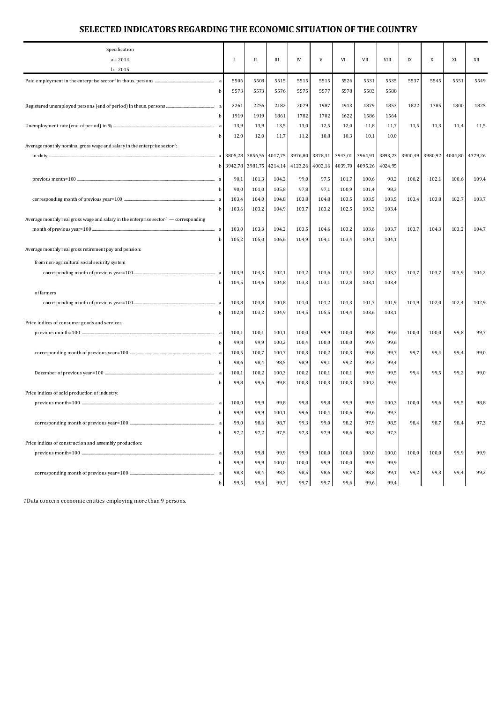| Specification<br>$a - 2014$                                                                | Ι.           | П       | Ш       | IV      | V       | VI      | VII     | VIII            | IX      | X       | XI    | XII             |
|--------------------------------------------------------------------------------------------|--------------|---------|---------|---------|---------|---------|---------|-----------------|---------|---------|-------|-----------------|
| $b - 2015$                                                                                 |              |         |         |         |         |         |         |                 |         |         |       |                 |
|                                                                                            | 5506         | 5508    | 5515    | 5515    | 5515    | 5526    | 5531    | 5535            | 5537    | 5545    | 5551  | 5549            |
|                                                                                            | 5573<br>b    | 5573    | 5576    | 5575    | 5577    | 5578    | 5583    | 5588            |         |         |       |                 |
|                                                                                            | 2261         | 2256    | 2182    | 2079    | 1987    | 1913    | 1879    | 1853            | 1822    | 1785    | 1800  | 1825            |
|                                                                                            | 1919<br>b    | 1919    | 1861    | 1782    | 1702    | 1622    | 1586    | 1564            |         |         |       |                 |
|                                                                                            | 13,9         | 13,9    | 13,5    | 13,0    | 12,5    | 12,0    | 11,8    | 11,7            | 11,5    | 11,3    | 11,4  | 11,5            |
|                                                                                            | 12,0<br>b    | 12,0    | 11,7    | 11,2    | 10,8    | 10,3    | 10,1    | 10,0            |         |         |       |                 |
| Average monthly nominal gross wage and salary in the enterprise sector <sup>1</sup> :      |              |         |         |         |         |         |         |                 |         |         |       |                 |
| in zloty                                                                                   |              | 3856,56 | 4017,75 | 3976,80 | 3878,31 | 3943,01 |         | 3964,91 3893,23 | 3900,49 | 3980,92 |       | 4004,80 4379,26 |
|                                                                                            | 3942,78<br>b | 3981,75 | 4214,14 | 4123,26 | 4002,16 | 4039,70 | 4095,26 | 4024,95         |         |         |       |                 |
|                                                                                            |              |         |         |         |         |         |         |                 |         |         |       |                 |
|                                                                                            | 90,1<br>a    | 101,3   | 104,2   | 99,0    | 97,5    | 101,7   | 100,6   | 98,2            | 100,2   | 102,1   | 100,6 | 109,4           |
|                                                                                            | 90,0         | 101,0   | 105,8   | 97,8    | 97,1    | 100,9   | 101,4   | 98,3            |         |         |       |                 |
| a                                                                                          | 103,4        | 104,0   | 104,8   | 103,8   | 104,8   | 103,5   | 103,5   | 103,5           | 103,4   | 103,8   | 102,7 | 103,7           |
|                                                                                            | 103,6        | 103,2   | 104,9   | 103,7   | 103,2   | 102,5   | 103,3   | 103,4           |         |         |       |                 |
| Average monthly real gross wage and salary in the enterprise sector $\ell$ — corresponding |              |         |         |         |         |         |         |                 |         |         |       |                 |
|                                                                                            | 103,0<br>a   | 103,3   | 104,2   | 103,5   | 104,6   | 103,2   | 103,6   | 103,7           | 103,7   | 104,3   | 103,2 | 104,7           |
|                                                                                            | 105,2<br>h   | 105,0   | 106,6   | 104,9   | 104,1   | 103,4   | 104,1   | 104,1           |         |         |       |                 |
| Average monthly real gross retirement pay and pension:                                     |              |         |         |         |         |         |         |                 |         |         |       |                 |
| from non-agricultural social security system                                               |              |         |         |         |         |         |         |                 |         |         |       |                 |
|                                                                                            | 103,9<br>a   | 104,3   | 102,1   | 103,2   | 103,6   | 103,4   | 104,2   | 103,7           | 103,7   | 103,7   | 103,9 | 104,2           |
|                                                                                            | 104,5        | 104,6   | 104,8   | 103,3   | 103,1   | 102,8   | 103,1   | 103,4           |         |         |       |                 |
| of farmers                                                                                 |              |         |         |         |         |         |         |                 |         |         |       |                 |
|                                                                                            | 103,8        | 103,8   | 100,8   | 101,0   | 101,2   | 101,3   | 101,7   | 101,9           | 101,9   | 102,0   | 102,4 | 102,9           |
|                                                                                            | 102,8        | 103,2   | 104,9   | 104,5   | 105,5   | 104,4   | 103,6   | 103,1           |         |         |       |                 |
| Price indices of consumer goods and services:                                              |              |         |         |         |         |         |         |                 |         |         |       |                 |
|                                                                                            | 100,1        | 100,1   | 100,1   | 100,0   | 99,9    | 100,0   | 99,8    | 99,6            | 100,0   | 100,0   | 99,8  | 99,7            |
|                                                                                            | 99,8         | 99,9    | 100,2   | 100,4   | 100,0   | 100,0   | 99,9    | 99,6            |         |         |       |                 |
|                                                                                            | 100,5<br>a   | 100,7   | 100,7   | 100,3   | 100,2   | 100,3   | 99,8    | 99,7            | 99,7    | 99,4    | 99,4  | 99,0            |
|                                                                                            | 98,6         | 98,4    | 98,5    | 98,9    | 99,1    | 99,2    | 99,3    | 99,4            |         |         |       |                 |
|                                                                                            | 100,1        | 100,2   | 100,3   | 100,2   | 100,1   | 100,1   | 99,9    | 99,5            | 99,4    | 99,5    | 99,2  | 99,0            |
|                                                                                            | 99,8         | 99,6    | 99,8    | 100,3   | 100,3   | 100,3   | 100,2   | 99,9            |         |         |       |                 |
| Price indices of sold production of industry:                                              |              |         |         |         |         |         |         |                 |         |         |       |                 |
|                                                                                            | 100,0<br>a   | 99,9    | 99,8    | 99,8    | 99,8    | 99,9    | 99,9    | 100,3           | 100,0   | 99,6    | 99,5  | 98,8            |
|                                                                                            | 99.9<br>b    | 99,9    | 100,1   | 99,6    | 100,4   | 100,6   | 99,6    | 99,3            |         |         |       |                 |
|                                                                                            | 99,0         | 98,6    | 98,7    | 99,3    | 99,0    | 98,2    | 97,9    | 98,5            | 98,4    | 98,7    | 98,4  | 97,3            |
|                                                                                            | 97,2<br>h    | 97,2    | 97,5    | 97,3    | 97,9    | 98,6    | 98,2    | 97,3            |         |         |       |                 |
| Price indices of construction and assembly production:                                     |              |         |         |         |         |         |         |                 |         |         |       |                 |
|                                                                                            | 99,8<br>a    | 99,8    | 99,9    | 99,9    | 100,0   | 100,0   | 100,0   | 100,0           | 100,0   | 100,0   | 99,9  | 99,9            |
|                                                                                            | 99,9<br>h    | 99,9    | 100,0   | 100,0   | 99,9    | 100,0   | 99,9    | 99,9            |         |         |       |                 |
|                                                                                            | 98,3         | 98,4    | 98,5    | 98,5    | 98,6    | 98,7    | 98,8    | 99,1            | 99,2    | 99,3    | 99,4  | 99,2            |
|                                                                                            | 99,5         | 99,6    | 99,7    | 99,7    | 99,7    | 99,6    | 99,6    | 99,4            |         |         |       |                 |

*1*Data concern economic entities employing more than 9 persons.